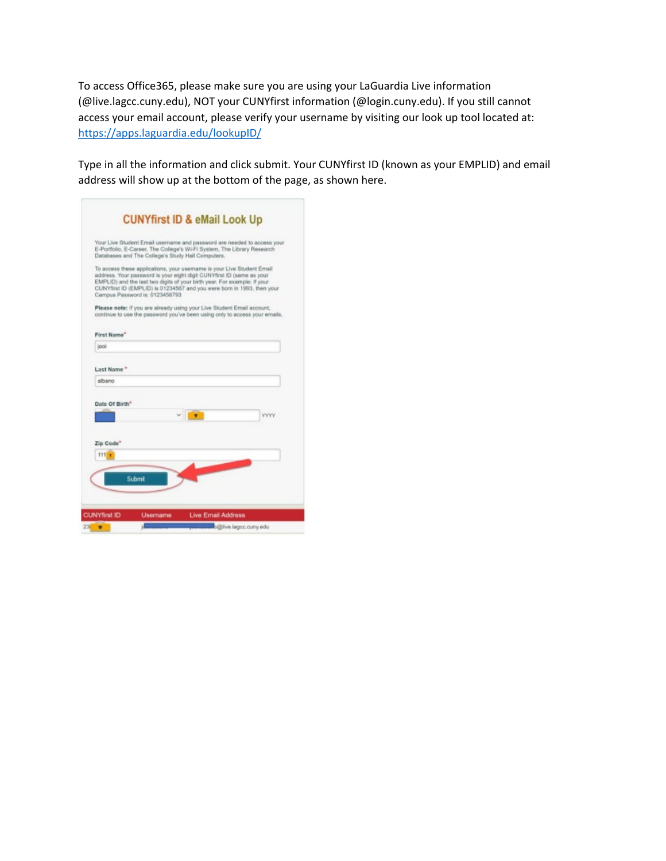To access Office365, please make sure you are using your LaGuardia Live information (@live.lagcc.cuny.edu), NOT your CUNYfirst information (@login.cuny.edu). If you still cannot access your email account, please verify your username by visiting our look up tool located at: <https://apps.laguardia.edu/lookupID/>

Type in all the information and click submit. Your CUNYfirst ID (known as your EMPLID) and email address will show up at the bottom of the page, as shown here.

|                                 | Your Live Student Email username and password are needed to access your<br>E-Portfolio, E-Career, The College's Wi-Fi System, The Library Research<br>Databases and The College's Study Hall Computers.                                                                                              |             |
|---------------------------------|------------------------------------------------------------------------------------------------------------------------------------------------------------------------------------------------------------------------------------------------------------------------------------------------------|-------------|
| Campus Password is: 0123456793. | To access these applications, your usemame is your Live Student Email<br>address. Your password is your eight digit CUNYfirst ID (same as your<br>EMPLID) and the last two digits of your birth year. For example: If your<br>CUNYfirst ID (EMPLID) is 01234567 and you were born in 1993, then your |             |
|                                 | Please note: if you are already using your Live Student Email account.<br>continue to use the password you've been using only to access your emails.                                                                                                                                                 |             |
| First Name"                     |                                                                                                                                                                                                                                                                                                      |             |
| iooi                            |                                                                                                                                                                                                                                                                                                      |             |
| albano                          |                                                                                                                                                                                                                                                                                                      |             |
|                                 |                                                                                                                                                                                                                                                                                                      |             |
| Date Of Birth*                  |                                                                                                                                                                                                                                                                                                      |             |
|                                 |                                                                                                                                                                                                                                                                                                      | <b>YYYY</b> |
| Zip Code"                       |                                                                                                                                                                                                                                                                                                      |             |
| 111.7                           |                                                                                                                                                                                                                                                                                                      |             |
| Submit                          |                                                                                                                                                                                                                                                                                                      |             |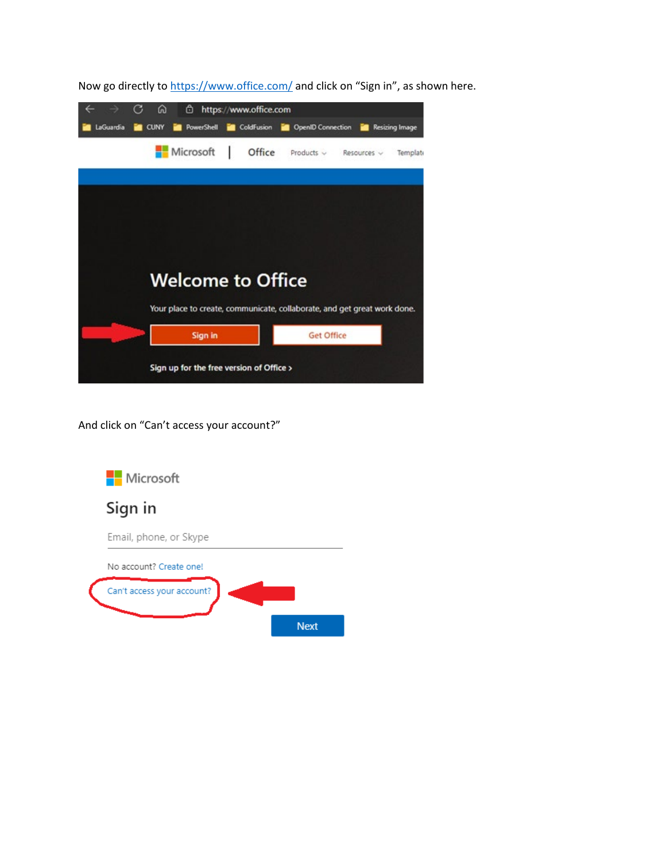

Now go directly t[o https://www.office.com/](https://www.office.com/) and click on "Sign in", as shown here.

And click on "Can't access your account?"

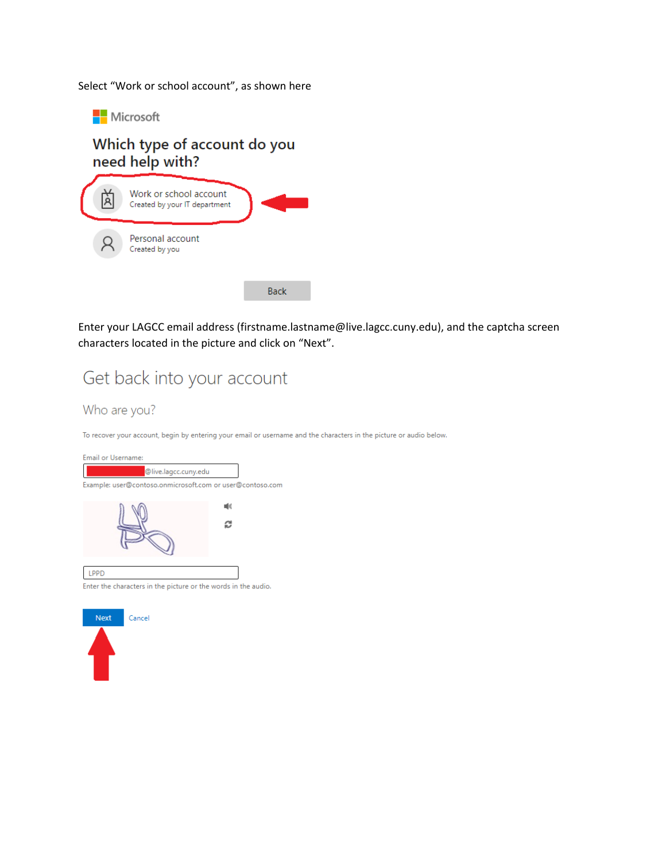Select "Work or school account", as shown here

Microsoft

## Which type of account do you need help with? Work or school account 面 Created by your IT department Personal account

Created by you

**Back** 

Enter your LAGCC email address (firstname.lastname@live.lagcc.cuny.edu), and the captcha screen characters located in the picture and click on "Next".

# Get back into your account

## Who are you?

To recover your account, begin by entering your email or username and the characters in the picture or audio below.





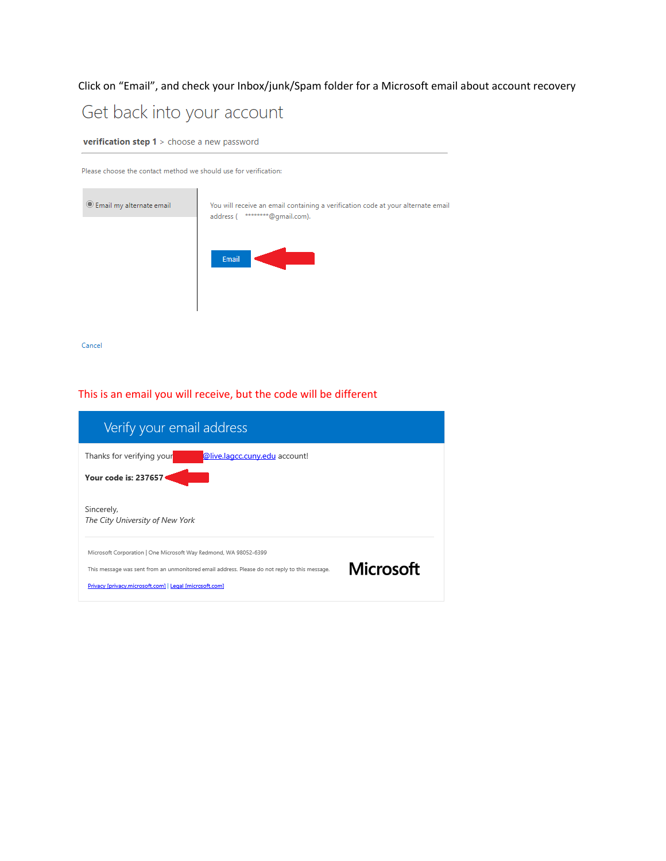## Click on "Email", and check your Inbox/junk/Spam folder for a Microsoft email about account recovery

# Get back into your account

verification step 1 > choose a new password

Please choose the contact method we should use for verification:

| C Email my alternate email | You will receive an email containing a verification code at your alternate email<br>********@gmail.com).<br>address ( |
|----------------------------|-----------------------------------------------------------------------------------------------------------------------|
|                            | Email                                                                                                                 |
|                            |                                                                                                                       |

Cancel

#### This is an email you will receive, but the code will be different

| Verify your email address                                                                                                                                                                                                    |           |
|------------------------------------------------------------------------------------------------------------------------------------------------------------------------------------------------------------------------------|-----------|
| Thanks for verifying your<br>@live.lagcc.cuny.edu account!<br>Your code is: 237657                                                                                                                                           |           |
| Sincerely,<br>The City University of New York                                                                                                                                                                                |           |
| Microsoft Corporation   One Microsoft Way Redmond, WA 98052-6399<br>This message was sent from an unmonitored email address. Please do not reply to this message.<br>Privacy [privacy.microsoft.com]   Legal [microsoft.com] | Microsoft |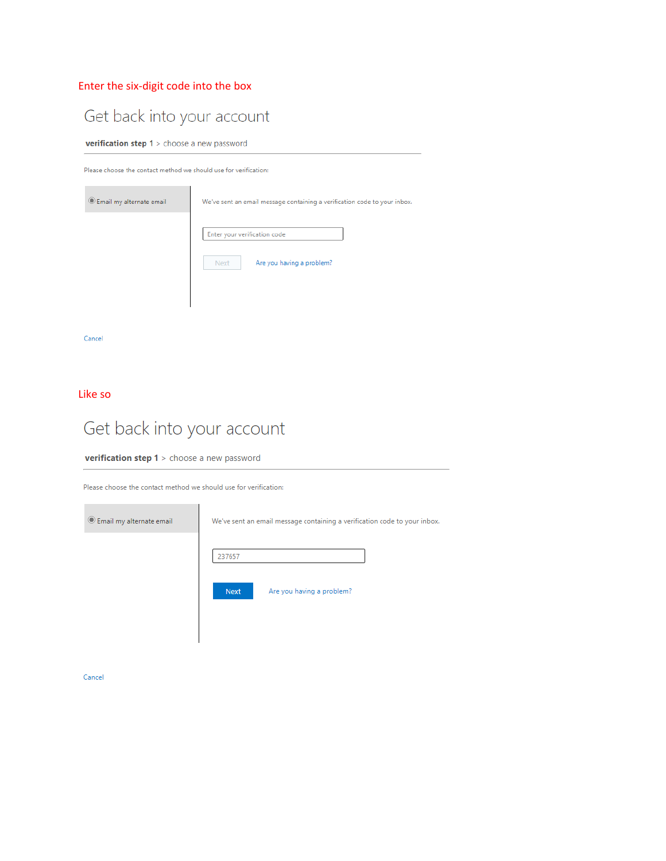## Enter the six-digit code into the box

## Get back into your account

**verification step 1** > choose a new password

Please choose the contact method we should use for verification:

| Email my alternate email | We've sent an email message containing a verification code to your inbox. |  |
|--------------------------|---------------------------------------------------------------------------|--|
|                          | Enter your verification code<br>Are you having a problem?<br><b>Next</b>  |  |
|                          |                                                                           |  |

 $\ensuremath{\mathsf{Cancel}}$ 

Like so

# Get back into your account

verification step 1 > choose a new password

Please choose the contact method we should use for verification:



 $\ensuremath{\mathsf{Cancel}}$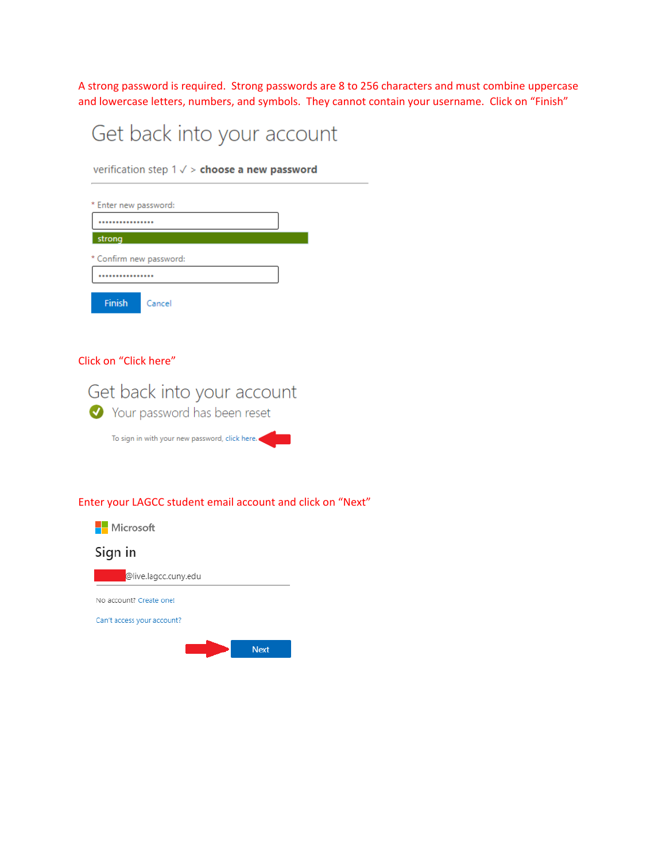A strong password is required. Strong passwords are 8 to 256 characters and must combine uppercase and lowercase letters, numbers, and symbols. They cannot contain your username. Click on "Finish"

# Get back into your account

verification step  $1 \vee$  > choose a new password

| * Enter new password:   |        |  |
|-------------------------|--------|--|
|                         |        |  |
| strong                  |        |  |
| * Confirm new password: |        |  |
| ***********             |        |  |
| <b>Finish</b>           | Cancel |  |

#### Click on "Click here"



#### Enter your LAGCC student email account and click on "Next"

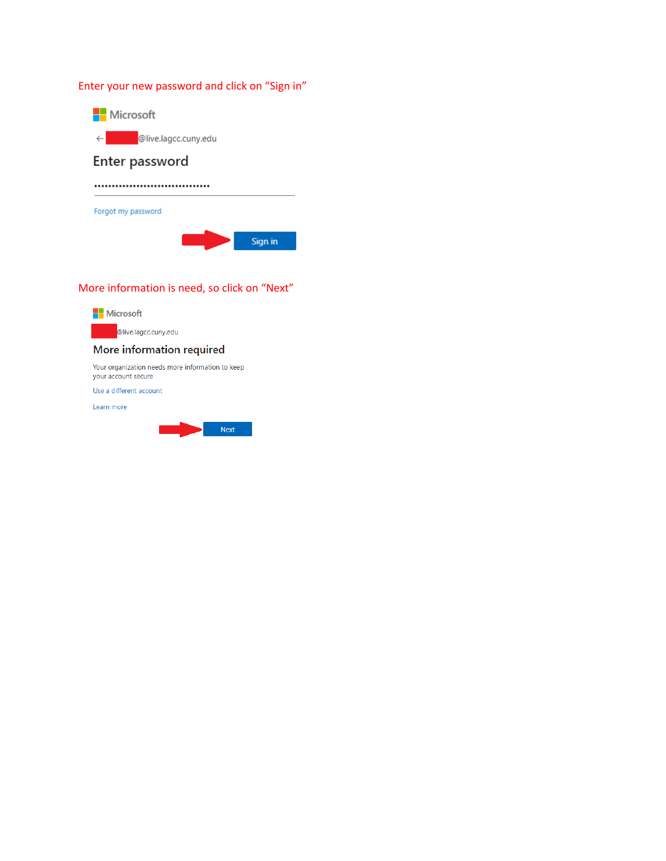## Enter your new password and click on "Sign in"



## More information is need, so click on "Next"

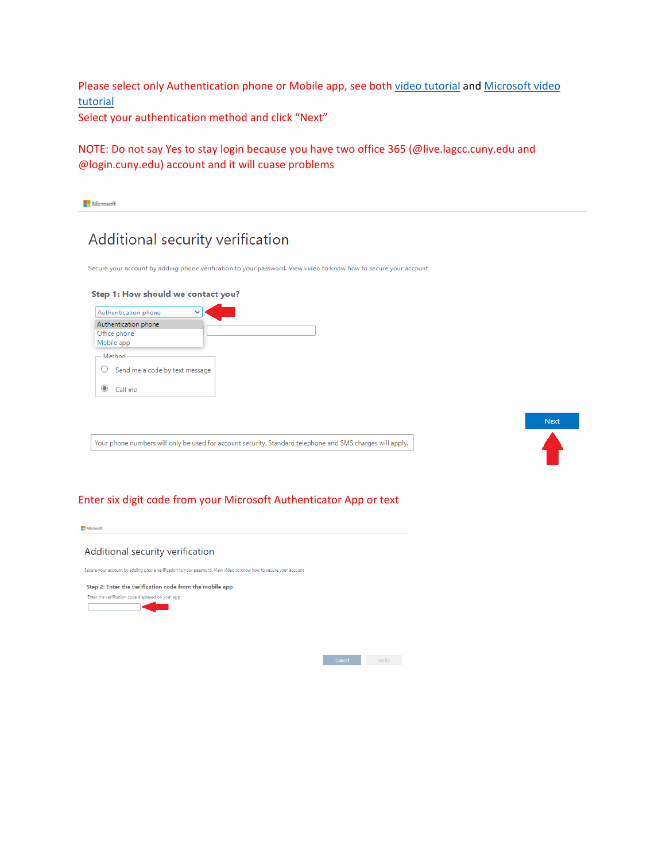Please select only Authentication phone or Mobile app, see both [video tutorial](https://www.youtube.com/watch?v=psP9w5xlXw0) and Microsoft video [tutorial](https://go.microsoft.com/fwlink/?LinkId=821974)

Select your authentication method and click "Next"

## NOTE: Do not say Yes to stay login because you have two office 365 (@live.lagcc.cuny.edu and @login.cuny.edu) account and it will cuase problems

## Additional security verification

Secure your account by adding phone verification to your password. View video to know how to secure your account

#### Step 1: How should we contact you?

| Authentication phone                                 |  |
|------------------------------------------------------|--|
| Authentication phone<br>Office phone<br>Mobile app   |  |
| -Method<br>$\bigcirc$ Send me a code by text message |  |
| Call me                                              |  |

Your phone numbers will only be used for account security. Standard telephone and SMS charges will apply.



#### Enter six digit code from your Microsoft Authenticator App or text

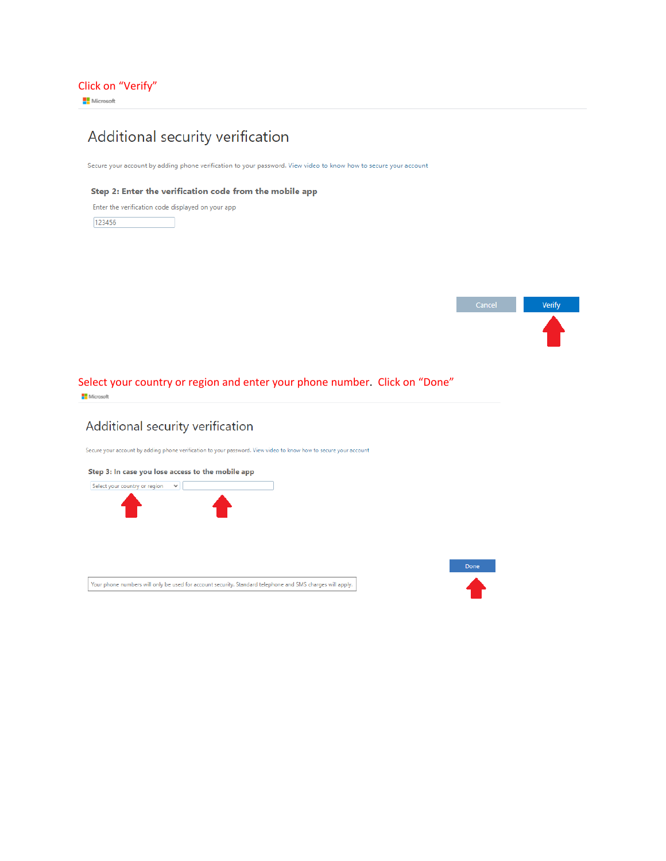## Additional security verification

Secure your account by adding phone verification to your password. View video to know how to secure your account

#### Step 2: Enter the verification code from the mobile app

Enter the verification code displayed on your app

123456



#### Select your country or region and enter your phone number. Click on "Done" Microsoft

## Additional security verification

Secure your account by adding phone verification to your password. View video to know how to secure your account



Your phone numbers will only be used for account security. Standard telephone and SMS charges will apply.